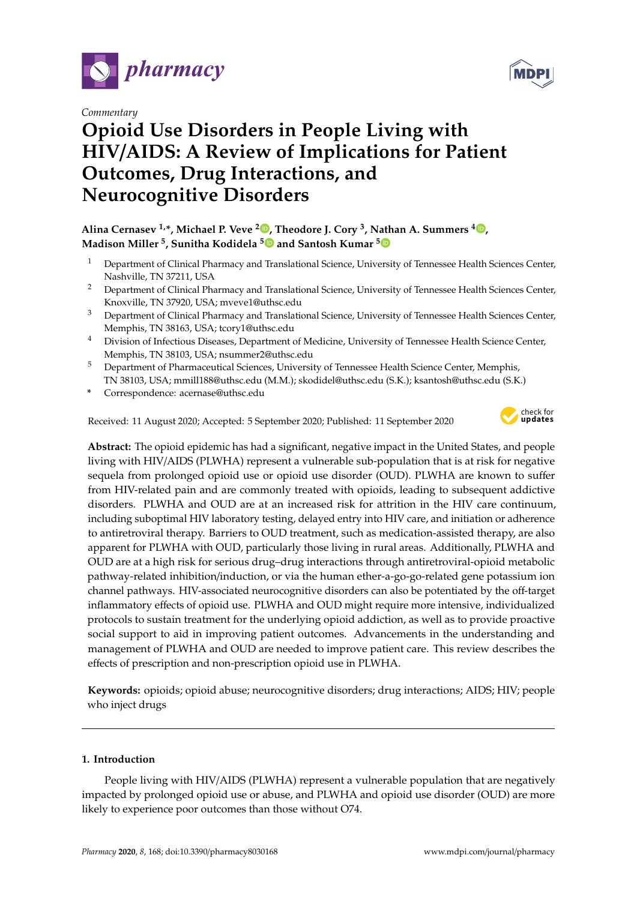

*Commentary*



# **Opioid Use Disorders in People Living with HIV**/**AIDS: A Review of Implications for Patient Outcomes, Drug Interactions, and Neurocognitive Disorders**

## **Alina Cernasev 1,\*, Michael P. Veve <sup>2</sup> [,](https://orcid.org/0000-0001-5967-5211) Theodore J. Cory <sup>3</sup> , Nathan A. Summers <sup>4</sup> [,](https://orcid.org/0000-0002-1979-9313) Madison Miller <sup>5</sup> , Sunitha Kodidela [5](https://orcid.org/0000-0002-9385-5985) and Santosh Kumar [5](https://orcid.org/0000-0001-7846-5674)**

- <sup>1</sup> Department of Clinical Pharmacy and Translational Science, University of Tennessee Health Sciences Center, Nashville, TN 37211, USA
- <sup>2</sup> Department of Clinical Pharmacy and Translational Science, University of Tennessee Health Sciences Center, Knoxville, TN 37920, USA; mveve1@uthsc.edu
- <sup>3</sup> Department of Clinical Pharmacy and Translational Science, University of Tennessee Health Sciences Center, Memphis, TN 38163, USA; tcory1@uthsc.edu
- <sup>4</sup> Division of Infectious Diseases, Department of Medicine, University of Tennessee Health Science Center, Memphis, TN 38103, USA; nsummer2@uthsc.edu
- <sup>5</sup> Department of Pharmaceutical Sciences, University of Tennessee Health Science Center, Memphis, TN 38103, USA; mmill188@uthsc.edu (M.M.); skodidel@uthsc.edu (S.K.); ksantosh@uthsc.edu (S.K.)
- **\*** Correspondence: acernase@uthsc.edu

Received: 11 August 2020; Accepted: 5 September 2020; Published: 11 September 2020



**Abstract:** The opioid epidemic has had a significant, negative impact in the United States, and people living with HIV/AIDS (PLWHA) represent a vulnerable sub-population that is at risk for negative sequela from prolonged opioid use or opioid use disorder (OUD). PLWHA are known to suffer from HIV-related pain and are commonly treated with opioids, leading to subsequent addictive disorders. PLWHA and OUD are at an increased risk for attrition in the HIV care continuum, including suboptimal HIV laboratory testing, delayed entry into HIV care, and initiation or adherence to antiretroviral therapy. Barriers to OUD treatment, such as medication-assisted therapy, are also apparent for PLWHA with OUD, particularly those living in rural areas. Additionally, PLWHA and OUD are at a high risk for serious drug–drug interactions through antiretroviral-opioid metabolic pathway-related inhibition/induction, or via the human ether-a-go-go-related gene potassium ion channel pathways. HIV-associated neurocognitive disorders can also be potentiated by the off-target inflammatory effects of opioid use. PLWHA and OUD might require more intensive, individualized protocols to sustain treatment for the underlying opioid addiction, as well as to provide proactive social support to aid in improving patient outcomes. Advancements in the understanding and management of PLWHA and OUD are needed to improve patient care. This review describes the effects of prescription and non-prescription opioid use in PLWHA.

**Keywords:** opioids; opioid abuse; neurocognitive disorders; drug interactions; AIDS; HIV; people who inject drugs

### **1. Introduction**

People living with HIV/AIDS (PLWHA) represent a vulnerable population that are negatively impacted by prolonged opioid use or abuse, and PLWHA and opioid use disorder (OUD) are more likely to experience poor outcomes than those without O74.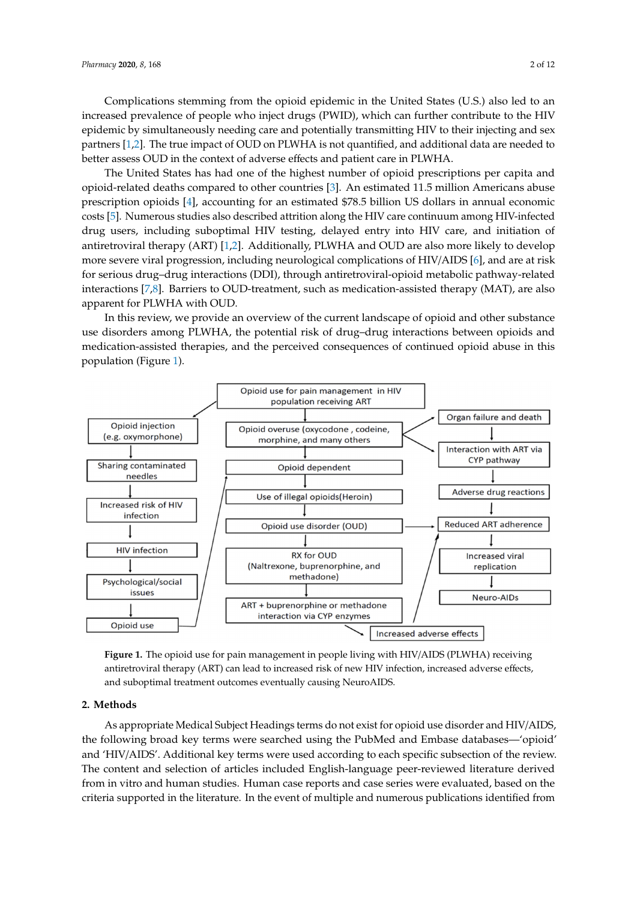Complications stemming from the opioid epidemic in the United States (U.S.) also led to an Complications stemming from the opioid epidemic in the United States (U.S.) also led to an increased prevalence of people who inject drugs (PWID), which can further contribute to the HIV<br>in the HIV state of the HIV state of the HIV state of the HIV state of the HIV state of the HIV state of the H epidemic by simultaneously needing care and potentially transmitting HIV to their injecting and sex epidemic by simultaneously needing care and potentially transmitting HIV to their injecting and sex partners [\[1](#page-7-0)[,2\]](#page-7-1). The true impact of OUD on PLWHA is not quantified, and additional data are needed to <br>http://www.com/www.com/www.com/www.com/www.com/www.com/www.com/www.com/www.com/www.com/www.com/www.com/www.com better assess OUD in the context of adverse effects and patient care in PLWHA. to better assess OUD in the context of adverse effects and patient care in PLWHA.

The United States has had one of the highest number of opioid prescriptions per capita and The United States has had one of the highest number of opioid prescriptions per capita and opioid-related deaths compared to other countries [\[3\]](#page-7-2). An estimated 11.5 million Americans abuse opioid-related deaths compared to other countries [3]. An estimated 11.5 million Americans abuse prescription opioids [\[4\]](#page-7-3), accounting for an estimated \$78.5 billion US dollars in annual economic prescription opioids [4], accounting for an estimated \$78.5 billion US dollars in annual economic costs costs [\[5\]](#page-7-4). Numerous studies also described attrition along the HIV care continuum among HIV-infected [5]. Numerous studies also described attrition along the HIV care continuum among HIV-infected drug users, including suboptimal HIV testing, delayed entry into HIV care, and initiation of drug users, including suboptimal HIV testing, delayed entry into HIV care, and initiation of antiretroviral therapy (ART) [\[1,](#page-7-0)[2\]](#page-7-1). Additionally, PLWHA and OUD are also more likely to develop antiretroviral therapy (ART) [1,2]. Additionally, PLWHA and OUD are also more likely to develop more severe viral progression, including neurological complications of HIV/AIDS [\[6\]](#page-7-5), and are at risk more severe viral progression, including neurological complications of HIV/AIDS [6], and are at risk for serious drug–drug interactions (DDI), through antiretroviral-opioid metabolic pathway-related for serious drug–drug interactions (DDI), through antiretroviral-opioid metabolic pathway-related interactions [\[7](#page-7-6)[,8\]](#page-7-7). Barriers to OUD-treatment, such as medication-assisted therapy (MAT), are also interactions [7,8]. Barriers to OUD-treatment, such as medication-assisted therapy (MAT), are also apparent for PLWHA with OUD. apparent for PLWHA with OUD.

In this review, we provide an overview of the current landscape of opioid and other substance<br> use disorders among PLWHA, the potential risk of drug–drug interactions between opioids and use disorders among PLWHA, the potential risk of drug–drug interactions between opioids and medication-assisted therapies, and the perceived consequences of continued opioid abuse in this medication-assisted therapies, and the perceived consequences of continued opioid abuse in this population (Figure [1\)](#page-1-0). population (Figure 1).

<span id="page-1-0"></span>

antiretroviral therapy (ART) can lead to increased risk of new HIV infection, increased adverse effects, and suboptimal treatment outcomes eventually causing NeuroAIDS. **Figure 1.** The opioid use for pain management in people living with HIV/AIDS (PLWHA) receiving

#### **2. Methods**

**2. Methods**  As appropriate Medical Subject Headings terms do not exist for opioid use disorder and HIV/AIDS, the following broad key terms were searched using the PubMed and Embase databases—'opioid' and 'HIV/AIDS'. Additional key terms were used according to each specific subsection of the review. The content and selection of articles included English-language peer-reviewed literature derived from in vitro and human studies. Human case reports and case series were evaluated, based on the criteria supported in the literature. In the event of multiple and numerous publications identified from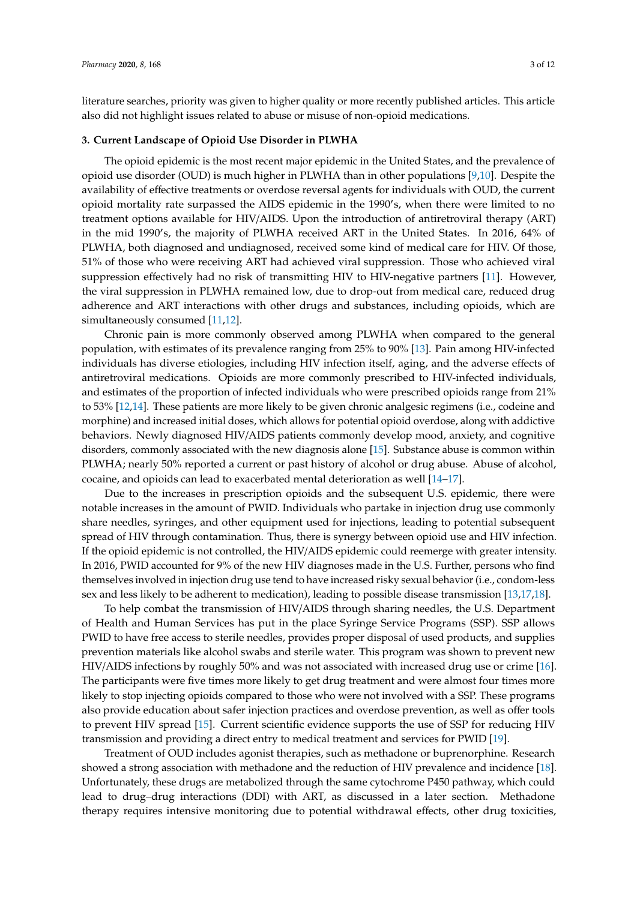literature searches, priority was given to higher quality or more recently published articles. This article also did not highlight issues related to abuse or misuse of non-opioid medications.

## **3. Current Landscape of Opioid Use Disorder in PLWHA**

The opioid epidemic is the most recent major epidemic in the United States, and the prevalence of opioid use disorder (OUD) is much higher in PLWHA than in other populations [\[9,](#page-8-0)[10\]](#page-8-1). Despite the availability of effective treatments or overdose reversal agents for individuals with OUD, the current opioid mortality rate surpassed the AIDS epidemic in the 1990's, when there were limited to no treatment options available for HIV/AIDS. Upon the introduction of antiretroviral therapy (ART) in the mid 1990's, the majority of PLWHA received ART in the United States. In 2016, 64% of PLWHA, both diagnosed and undiagnosed, received some kind of medical care for HIV. Of those, 51% of those who were receiving ART had achieved viral suppression. Those who achieved viral suppression effectively had no risk of transmitting HIV to HIV-negative partners [\[11\]](#page-8-2). However, the viral suppression in PLWHA remained low, due to drop-out from medical care, reduced drug adherence and ART interactions with other drugs and substances, including opioids, which are simultaneously consumed [\[11,](#page-8-2)[12\]](#page-8-3).

Chronic pain is more commonly observed among PLWHA when compared to the general population, with estimates of its prevalence ranging from 25% to 90% [\[13\]](#page-8-4). Pain among HIV-infected individuals has diverse etiologies, including HIV infection itself, aging, and the adverse effects of antiretroviral medications. Opioids are more commonly prescribed to HIV-infected individuals, and estimates of the proportion of infected individuals who were prescribed opioids range from 21% to 53% [\[12](#page-8-3)[,14\]](#page-8-5). These patients are more likely to be given chronic analgesic regimens (i.e., codeine and morphine) and increased initial doses, which allows for potential opioid overdose, along with addictive behaviors. Newly diagnosed HIV/AIDS patients commonly develop mood, anxiety, and cognitive disorders, commonly associated with the new diagnosis alone [\[15\]](#page-8-6). Substance abuse is common within PLWHA; nearly 50% reported a current or past history of alcohol or drug abuse. Abuse of alcohol, cocaine, and opioids can lead to exacerbated mental deterioration as well [\[14–](#page-8-5)[17\]](#page-8-7).

Due to the increases in prescription opioids and the subsequent U.S. epidemic, there were notable increases in the amount of PWID. Individuals who partake in injection drug use commonly share needles, syringes, and other equipment used for injections, leading to potential subsequent spread of HIV through contamination. Thus, there is synergy between opioid use and HIV infection. If the opioid epidemic is not controlled, the HIV/AIDS epidemic could reemerge with greater intensity. In 2016, PWID accounted for 9% of the new HIV diagnoses made in the U.S. Further, persons who find themselves involved in injection drug use tend to have increased risky sexual behavior (i.e., condom-less sex and less likely to be adherent to medication), leading to possible disease transmission [\[13](#page-8-4)[,17](#page-8-7)[,18\]](#page-8-8).

To help combat the transmission of HIV/AIDS through sharing needles, the U.S. Department of Health and Human Services has put in the place Syringe Service Programs (SSP). SSP allows PWID to have free access to sterile needles, provides proper disposal of used products, and supplies prevention materials like alcohol swabs and sterile water. This program was shown to prevent new HIV/AIDS infections by roughly 50% and was not associated with increased drug use or crime [\[16\]](#page-8-9). The participants were five times more likely to get drug treatment and were almost four times more likely to stop injecting opioids compared to those who were not involved with a SSP. These programs also provide education about safer injection practices and overdose prevention, as well as offer tools to prevent HIV spread [\[15\]](#page-8-6). Current scientific evidence supports the use of SSP for reducing HIV transmission and providing a direct entry to medical treatment and services for PWID [\[19\]](#page-8-10).

Treatment of OUD includes agonist therapies, such as methadone or buprenorphine. Research showed a strong association with methadone and the reduction of HIV prevalence and incidence [\[18\]](#page-8-8). Unfortunately, these drugs are metabolized through the same cytochrome P450 pathway, which could lead to drug–drug interactions (DDI) with ART, as discussed in a later section. Methadone therapy requires intensive monitoring due to potential withdrawal effects, other drug toxicities,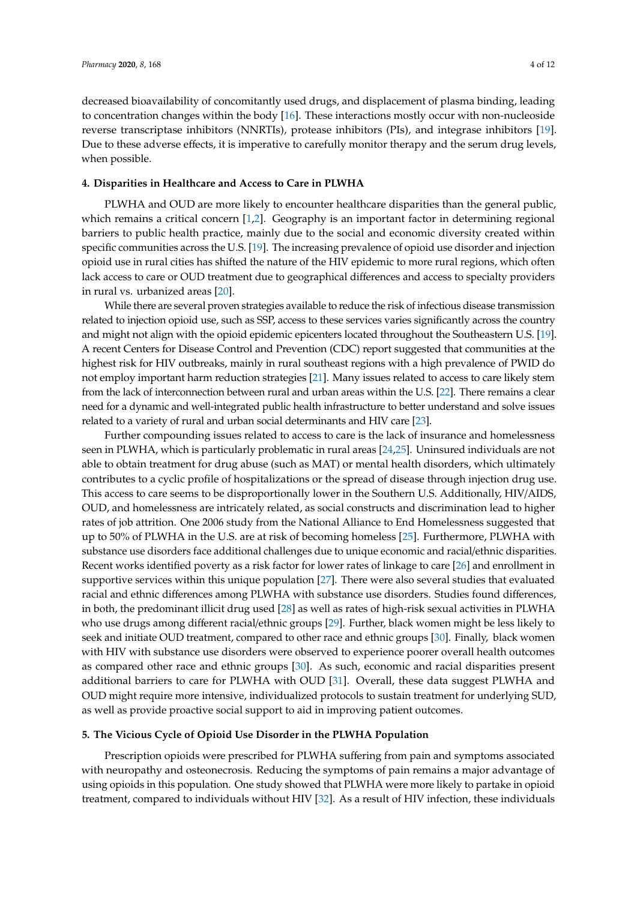decreased bioavailability of concomitantly used drugs, and displacement of plasma binding, leading to concentration changes within the body [\[16\]](#page-8-9). These interactions mostly occur with non-nucleoside reverse transcriptase inhibitors (NNRTIs), protease inhibitors (PIs), and integrase inhibitors [\[19\]](#page-8-10). Due to these adverse effects, it is imperative to carefully monitor therapy and the serum drug levels, when possible.

#### **4. Disparities in Healthcare and Access to Care in PLWHA**

PLWHA and OUD are more likely to encounter healthcare disparities than the general public, which remains a critical concern [\[1](#page-7-0)[,2\]](#page-7-1). Geography is an important factor in determining regional barriers to public health practice, mainly due to the social and economic diversity created within specific communities across the U.S. [\[19\]](#page-8-10). The increasing prevalence of opioid use disorder and injection opioid use in rural cities has shifted the nature of the HIV epidemic to more rural regions, which often lack access to care or OUD treatment due to geographical differences and access to specialty providers in rural vs. urbanized areas [\[20\]](#page-8-11).

While there are several proven strategies available to reduce the risk of infectious disease transmission related to injection opioid use, such as SSP, access to these services varies significantly across the country and might not align with the opioid epidemic epicenters located throughout the Southeastern U.S. [\[19\]](#page-8-10). A recent Centers for Disease Control and Prevention (CDC) report suggested that communities at the highest risk for HIV outbreaks, mainly in rural southeast regions with a high prevalence of PWID do not employ important harm reduction strategies [\[21\]](#page-8-12). Many issues related to access to care likely stem from the lack of interconnection between rural and urban areas within the U.S. [\[22\]](#page-8-13). There remains a clear need for a dynamic and well-integrated public health infrastructure to better understand and solve issues related to a variety of rural and urban social determinants and HIV care [\[23\]](#page-8-14).

Further compounding issues related to access to care is the lack of insurance and homelessness seen in PLWHA, which is particularly problematic in rural areas [\[24](#page-8-15)[,25\]](#page-8-16). Uninsured individuals are not able to obtain treatment for drug abuse (such as MAT) or mental health disorders, which ultimately contributes to a cyclic profile of hospitalizations or the spread of disease through injection drug use. This access to care seems to be disproportionally lower in the Southern U.S. Additionally, HIV/AIDS, OUD, and homelessness are intricately related, as social constructs and discrimination lead to higher rates of job attrition. One 2006 study from the National Alliance to End Homelessness suggested that up to 50% of PLWHA in the U.S. are at risk of becoming homeless [\[25\]](#page-8-16). Furthermore, PLWHA with substance use disorders face additional challenges due to unique economic and racial/ethnic disparities. Recent works identified poverty as a risk factor for lower rates of linkage to care [\[26\]](#page-8-17) and enrollment in supportive services within this unique population [\[27\]](#page-8-18). There were also several studies that evaluated racial and ethnic differences among PLWHA with substance use disorders. Studies found differences, in both, the predominant illicit drug used [\[28\]](#page-8-19) as well as rates of high-risk sexual activities in PLWHA who use drugs among different racial/ethnic groups [\[29\]](#page-8-20). Further, black women might be less likely to seek and initiate OUD treatment, compared to other race and ethnic groups [\[30\]](#page-9-0). Finally, black women with HIV with substance use disorders were observed to experience poorer overall health outcomes as compared other race and ethnic groups [\[30\]](#page-9-0). As such, economic and racial disparities present additional barriers to care for PLWHA with OUD [\[31\]](#page-9-1). Overall, these data suggest PLWHA and OUD might require more intensive, individualized protocols to sustain treatment for underlying SUD, as well as provide proactive social support to aid in improving patient outcomes.

#### **5. The Vicious Cycle of Opioid Use Disorder in the PLWHA Population**

Prescription opioids were prescribed for PLWHA suffering from pain and symptoms associated with neuropathy and osteonecrosis. Reducing the symptoms of pain remains a major advantage of using opioids in this population. One study showed that PLWHA were more likely to partake in opioid treatment, compared to individuals without HIV [\[32\]](#page-9-2). As a result of HIV infection, these individuals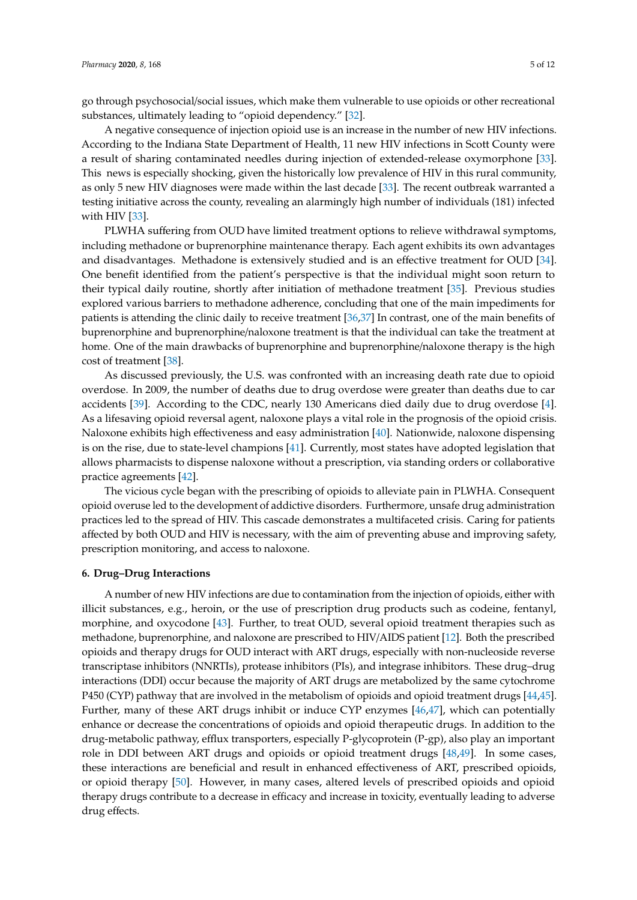go through psychosocial/social issues, which make them vulnerable to use opioids or other recreational substances, ultimately leading to "opioid dependency." [\[32\]](#page-9-2).

A negative consequence of injection opioid use is an increase in the number of new HIV infections. According to the Indiana State Department of Health, 11 new HIV infections in Scott County were a result of sharing contaminated needles during injection of extended-release oxymorphone [\[33\]](#page-9-3). This news is especially shocking, given the historically low prevalence of HIV in this rural community, as only 5 new HIV diagnoses were made within the last decade [\[33\]](#page-9-3). The recent outbreak warranted a testing initiative across the county, revealing an alarmingly high number of individuals (181) infected with HIV [\[33\]](#page-9-3).

PLWHA suffering from OUD have limited treatment options to relieve withdrawal symptoms, including methadone or buprenorphine maintenance therapy. Each agent exhibits its own advantages and disadvantages. Methadone is extensively studied and is an effective treatment for OUD [\[34\]](#page-9-4). One benefit identified from the patient's perspective is that the individual might soon return to their typical daily routine, shortly after initiation of methadone treatment [\[35\]](#page-9-5). Previous studies explored various barriers to methadone adherence, concluding that one of the main impediments for patients is attending the clinic daily to receive treatment [\[36,](#page-9-6)[37\]](#page-9-7) In contrast, one of the main benefits of buprenorphine and buprenorphine/naloxone treatment is that the individual can take the treatment at home. One of the main drawbacks of buprenorphine and buprenorphine/naloxone therapy is the high cost of treatment [\[38\]](#page-9-8).

As discussed previously, the U.S. was confronted with an increasing death rate due to opioid overdose. In 2009, the number of deaths due to drug overdose were greater than deaths due to car accidents [\[39\]](#page-9-9). According to the CDC, nearly 130 Americans died daily due to drug overdose [\[4\]](#page-7-3). As a lifesaving opioid reversal agent, naloxone plays a vital role in the prognosis of the opioid crisis. Naloxone exhibits high effectiveness and easy administration [\[40\]](#page-9-10). Nationwide, naloxone dispensing is on the rise, due to state-level champions [\[41\]](#page-9-11). Currently, most states have adopted legislation that allows pharmacists to dispense naloxone without a prescription, via standing orders or collaborative practice agreements [\[42\]](#page-9-12).

The vicious cycle began with the prescribing of opioids to alleviate pain in PLWHA. Consequent opioid overuse led to the development of addictive disorders. Furthermore, unsafe drug administration practices led to the spread of HIV. This cascade demonstrates a multifaceted crisis. Caring for patients affected by both OUD and HIV is necessary, with the aim of preventing abuse and improving safety, prescription monitoring, and access to naloxone.

#### **6. Drug–Drug Interactions**

A number of new HIV infections are due to contamination from the injection of opioids, either with illicit substances, e.g., heroin, or the use of prescription drug products such as codeine, fentanyl, morphine, and oxycodone [\[43\]](#page-9-13). Further, to treat OUD, several opioid treatment therapies such as methadone, buprenorphine, and naloxone are prescribed to HIV/AIDS patient [\[12\]](#page-8-3). Both the prescribed opioids and therapy drugs for OUD interact with ART drugs, especially with non-nucleoside reverse transcriptase inhibitors (NNRTIs), protease inhibitors (PIs), and integrase inhibitors. These drug–drug interactions (DDI) occur because the majority of ART drugs are metabolized by the same cytochrome P450 (CYP) pathway that are involved in the metabolism of opioids and opioid treatment drugs [\[44](#page-9-14)[,45\]](#page-9-15). Further, many of these ART drugs inhibit or induce CYP enzymes [\[46,](#page-9-16)[47\]](#page-9-17), which can potentially enhance or decrease the concentrations of opioids and opioid therapeutic drugs. In addition to the drug-metabolic pathway, efflux transporters, especially P-glycoprotein (P-gp), also play an important role in DDI between ART drugs and opioids or opioid treatment drugs [\[48,](#page-9-18)[49\]](#page-9-19). In some cases, these interactions are beneficial and result in enhanced effectiveness of ART, prescribed opioids, or opioid therapy [\[50\]](#page-10-0). However, in many cases, altered levels of prescribed opioids and opioid therapy drugs contribute to a decrease in efficacy and increase in toxicity, eventually leading to adverse drug effects.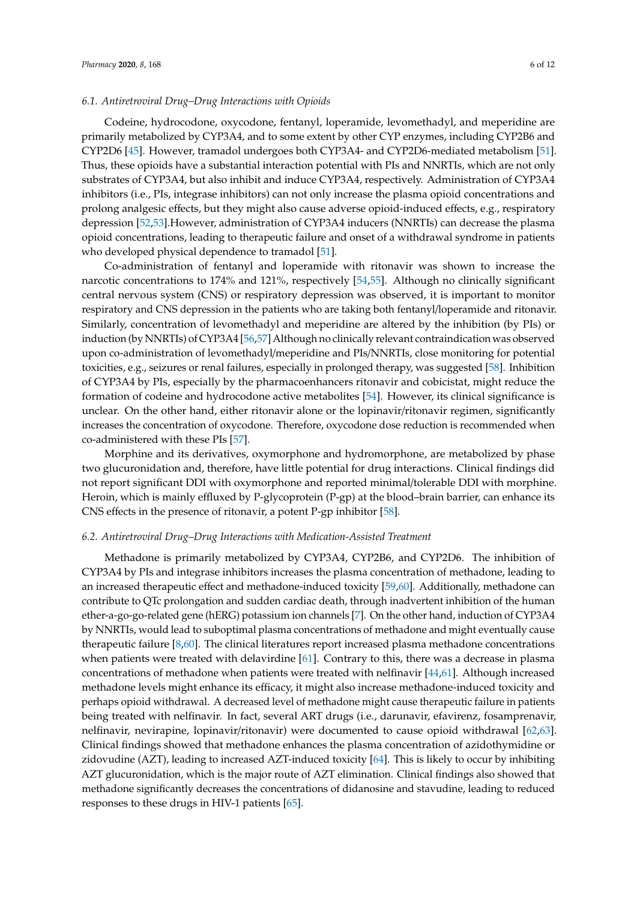#### *6.1. Antiretroviral Drug–Drug Interactions with Opioids*

Codeine, hydrocodone, oxycodone, fentanyl, loperamide, levomethadyl, and meperidine are primarily metabolized by CYP3A4, and to some extent by other CYP enzymes, including CYP2B6 and CYP2D6 [\[45\]](#page-9-15). However, tramadol undergoes both CYP3A4- and CYP2D6-mediated metabolism [\[51\]](#page-10-1). Thus, these opioids have a substantial interaction potential with PIs and NNRTIs, which are not only substrates of CYP3A4, but also inhibit and induce CYP3A4, respectively. Administration of CYP3A4 inhibitors (i.e., PIs, integrase inhibitors) can not only increase the plasma opioid concentrations and prolong analgesic effects, but they might also cause adverse opioid-induced effects, e.g., respiratory depression [\[52,](#page-10-2)[53\]](#page-10-3).However, administration of CYP3A4 inducers (NNRTIs) can decrease the plasma opioid concentrations, leading to therapeutic failure and onset of a withdrawal syndrome in patients who developed physical dependence to tramadol [\[51\]](#page-10-1).

Co-administration of fentanyl and loperamide with ritonavir was shown to increase the narcotic concentrations to 174% and 121%, respectively [\[54](#page-10-4)[,55\]](#page-10-5). Although no clinically significant central nervous system (CNS) or respiratory depression was observed, it is important to monitor respiratory and CNS depression in the patients who are taking both fentanyl/loperamide and ritonavir. Similarly, concentration of levomethadyl and meperidine are altered by the inhibition (by PIs) or induction (by NNRTIs) of CYP3A4 [\[56](#page-10-6)[,57\]](#page-10-7) Although no clinically relevant contraindication was observed upon co-administration of levomethadyl/meperidine and PIs/NNRTIs, close monitoring for potential toxicities, e.g., seizures or renal failures, especially in prolonged therapy, was suggested [\[58\]](#page-10-8). Inhibition of CYP3A4 by PIs, especially by the pharmacoenhancers ritonavir and cobicistat, might reduce the formation of codeine and hydrocodone active metabolites [\[54\]](#page-10-4). However, its clinical significance is unclear. On the other hand, either ritonavir alone or the lopinavir/ritonavir regimen, significantly increases the concentration of oxycodone. Therefore, oxycodone dose reduction is recommended when co-administered with these PIs [\[57\]](#page-10-7).

Morphine and its derivatives, oxymorphone and hydromorphone, are metabolized by phase two glucuronidation and, therefore, have little potential for drug interactions. Clinical findings did not report significant DDI with oxymorphone and reported minimal/tolerable DDI with morphine. Heroin, which is mainly effluxed by P-glycoprotein (P-gp) at the blood–brain barrier, can enhance its CNS effects in the presence of ritonavir, a potent P-gp inhibitor [\[58\]](#page-10-8).

#### *6.2. Antiretroviral Drug–Drug Interactions with Medication-Assisted Treatment*

Methadone is primarily metabolized by CYP3A4, CYP2B6, and CYP2D6. The inhibition of CYP3A4 by PIs and integrase inhibitors increases the plasma concentration of methadone, leading to an increased therapeutic effect and methadone-induced toxicity [\[59,](#page-10-9)[60\]](#page-10-10). Additionally, methadone can contribute to QTc prolongation and sudden cardiac death, through inadvertent inhibition of the human ether-a-go-go-related gene (hERG) potassium ion channels [\[7\]](#page-7-6). On the other hand, induction of CYP3A4 by NNRTIs, would lead to suboptimal plasma concentrations of methadone and might eventually cause therapeutic failure [\[8](#page-7-7)[,60\]](#page-10-10). The clinical literatures report increased plasma methadone concentrations when patients were treated with delavirdine [\[61\]](#page-10-11). Contrary to this, there was a decrease in plasma concentrations of methadone when patients were treated with nelfinavir [\[44](#page-9-14)[,61\]](#page-10-11). Although increased methadone levels might enhance its efficacy, it might also increase methadone-induced toxicity and perhaps opioid withdrawal. A decreased level of methadone might cause therapeutic failure in patients being treated with nelfinavir. In fact, several ART drugs (i.e., darunavir, efavirenz, fosamprenavir, nelfinavir, nevirapine, lopinavir/ritonavir) were documented to cause opioid withdrawal [\[62,](#page-10-12)[63\]](#page-10-13). Clinical findings showed that methadone enhances the plasma concentration of azidothymidine or zidovudine (AZT), leading to increased AZT-induced toxicity [\[64\]](#page-10-14). This is likely to occur by inhibiting AZT glucuronidation, which is the major route of AZT elimination. Clinical findings also showed that methadone significantly decreases the concentrations of didanosine and stavudine, leading to reduced responses to these drugs in HIV-1 patients [\[65\]](#page-10-15).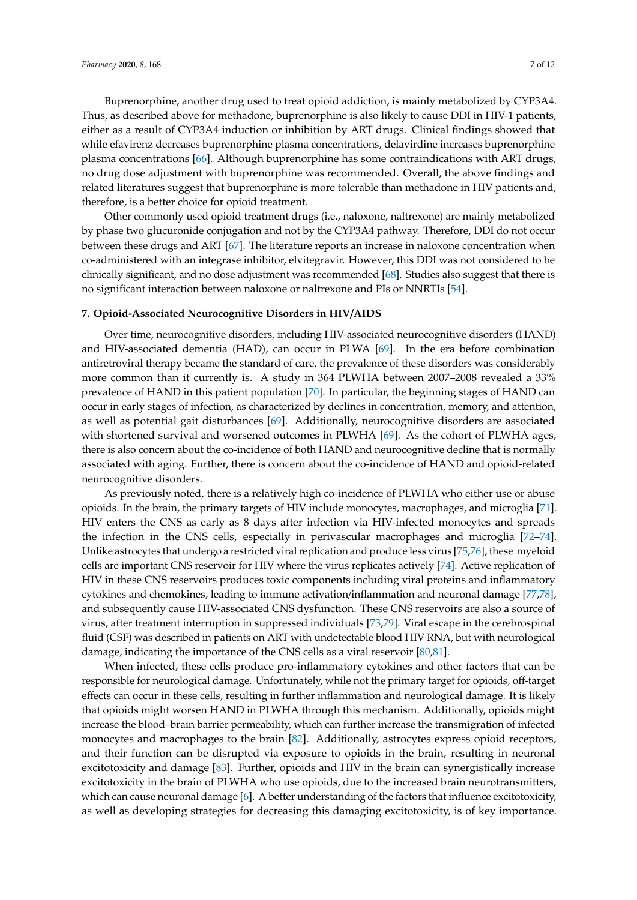Buprenorphine, another drug used to treat opioid addiction, is mainly metabolized by CYP3A4. Thus, as described above for methadone, buprenorphine is also likely to cause DDI in HIV-1 patients, either as a result of CYP3A4 induction or inhibition by ART drugs. Clinical findings showed that while efavirenz decreases buprenorphine plasma concentrations, delavirdine increases buprenorphine plasma concentrations [\[66\]](#page-10-16). Although buprenorphine has some contraindications with ART drugs, no drug dose adjustment with buprenorphine was recommended. Overall, the above findings and related literatures suggest that buprenorphine is more tolerable than methadone in HIV patients and, therefore, is a better choice for opioid treatment.

Other commonly used opioid treatment drugs (i.e., naloxone, naltrexone) are mainly metabolized by phase two glucuronide conjugation and not by the CYP3A4 pathway. Therefore, DDI do not occur between these drugs and ART [\[67\]](#page-10-17). The literature reports an increase in naloxone concentration when co-administered with an integrase inhibitor, elvitegravir. However, this DDI was not considered to be clinically significant, and no dose adjustment was recommended [\[68\]](#page-10-18). Studies also suggest that there is no significant interaction between naloxone or naltrexone and PIs or NNRTIs [\[54\]](#page-10-4).

#### **7. Opioid-Associated Neurocognitive Disorders in HIV**/**AIDS**

Over time, neurocognitive disorders, including HIV-associated neurocognitive disorders (HAND) and HIV-associated dementia (HAD), can occur in PLWA [\[69\]](#page-11-0). In the era before combination antiretroviral therapy became the standard of care, the prevalence of these disorders was considerably more common than it currently is. A study in 364 PLWHA between 2007–2008 revealed a 33% prevalence of HAND in this patient population [\[70\]](#page-11-1). In particular, the beginning stages of HAND can occur in early stages of infection, as characterized by declines in concentration, memory, and attention, as well as potential gait disturbances [\[69\]](#page-11-0). Additionally, neurocognitive disorders are associated with shortened survival and worsened outcomes in PLWHA [\[69\]](#page-11-0). As the cohort of PLWHA ages, there is also concern about the co-incidence of both HAND and neurocognitive decline that is normally associated with aging. Further, there is concern about the co-incidence of HAND and opioid-related neurocognitive disorders.

As previously noted, there is a relatively high co-incidence of PLWHA who either use or abuse opioids. In the brain, the primary targets of HIV include monocytes, macrophages, and microglia [\[71\]](#page-11-2). HIV enters the CNS as early as 8 days after infection via HIV-infected monocytes and spreads the infection in the CNS cells, especially in perivascular macrophages and microglia [\[72–](#page-11-3)[74\]](#page-11-4). Unlike astrocytes that undergo a restricted viral replication and produce less virus [\[75](#page-11-5)[,76\]](#page-11-6), these myeloid cells are important CNS reservoir for HIV where the virus replicates actively [\[74\]](#page-11-4). Active replication of HIV in these CNS reservoirs produces toxic components including viral proteins and inflammatory cytokines and chemokines, leading to immune activation/inflammation and neuronal damage [\[77](#page-11-7)[,78\]](#page-11-8), and subsequently cause HIV-associated CNS dysfunction. These CNS reservoirs are also a source of virus, after treatment interruption in suppressed individuals [\[73](#page-11-9)[,79\]](#page-11-10). Viral escape in the cerebrospinal fluid (CSF) was described in patients on ART with undetectable blood HIV RNA, but with neurological damage, indicating the importance of the CNS cells as a viral reservoir [\[80](#page-11-11)[,81\]](#page-11-12).

When infected, these cells produce pro-inflammatory cytokines and other factors that can be responsible for neurological damage. Unfortunately, while not the primary target for opioids, off-target effects can occur in these cells, resulting in further inflammation and neurological damage. It is likely that opioids might worsen HAND in PLWHA through this mechanism. Additionally, opioids might increase the blood–brain barrier permeability, which can further increase the transmigration of infected monocytes and macrophages to the brain [\[82\]](#page-11-13). Additionally, astrocytes express opioid receptors, and their function can be disrupted via exposure to opioids in the brain, resulting in neuronal excitotoxicity and damage [\[83\]](#page-11-14). Further, opioids and HIV in the brain can synergistically increase excitotoxicity in the brain of PLWHA who use opioids, due to the increased brain neurotransmitters, which can cause neuronal damage [\[6\]](#page-7-5). A better understanding of the factors that influence excitotoxicity, as well as developing strategies for decreasing this damaging excitotoxicity, is of key importance.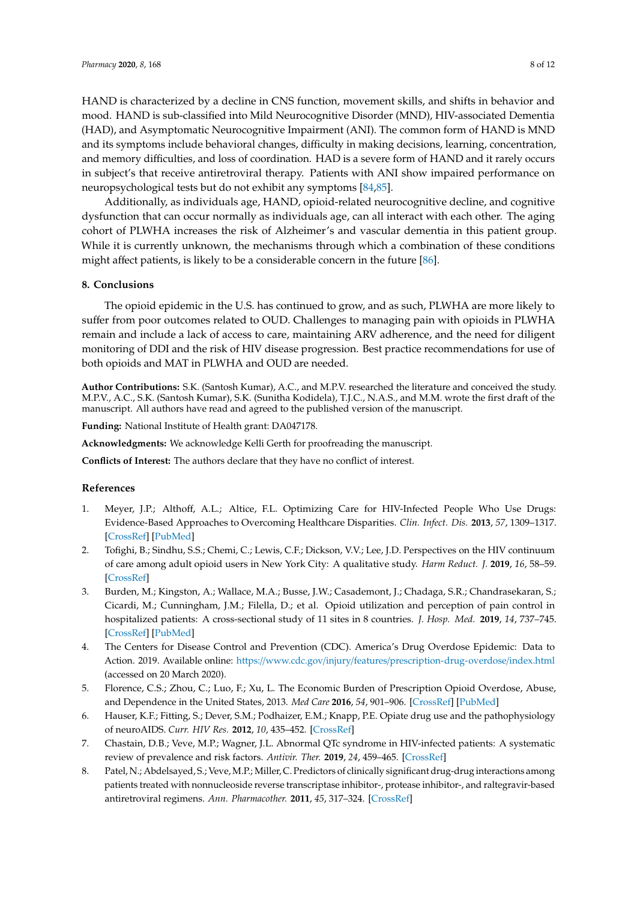HAND is characterized by a decline in CNS function, movement skills, and shifts in behavior and mood. HAND is sub-classified into Mild Neurocognitive Disorder (MND), HIV-associated Dementia (HAD), and Asymptomatic Neurocognitive Impairment (ANI). The common form of HAND is MND and its symptoms include behavioral changes, difficulty in making decisions, learning, concentration, and memory difficulties, and loss of coordination. HAD is a severe form of HAND and it rarely occurs in subject's that receive antiretroviral therapy. Patients with ANI show impaired performance on neuropsychological tests but do not exhibit any symptoms [\[84](#page-11-15)[,85\]](#page-11-16).

Additionally, as individuals age, HAND, opioid-related neurocognitive decline, and cognitive dysfunction that can occur normally as individuals age, can all interact with each other. The aging cohort of PLWHA increases the risk of Alzheimer's and vascular dementia in this patient group. While it is currently unknown, the mechanisms through which a combination of these conditions might affect patients, is likely to be a considerable concern in the future [\[86\]](#page-11-17).

#### **8. Conclusions**

The opioid epidemic in the U.S. has continued to grow, and as such, PLWHA are more likely to suffer from poor outcomes related to OUD. Challenges to managing pain with opioids in PLWHA remain and include a lack of access to care, maintaining ARV adherence, and the need for diligent monitoring of DDI and the risk of HIV disease progression. Best practice recommendations for use of both opioids and MAT in PLWHA and OUD are needed.

**Author Contributions:** S.K. (Santosh Kumar), A.C., and M.P.V. researched the literature and conceived the study. M.P.V., A.C., S.K. (Santosh Kumar), S.K. (Sunitha Kodidela), T.J.C., N.A.S., and M.M. wrote the first draft of the manuscript. All authors have read and agreed to the published version of the manuscript.

**Funding:** National Institute of Health grant: DA047178.

**Acknowledgments:** We acknowledge Kelli Gerth for proofreading the manuscript.

**Conflicts of Interest:** The authors declare that they have no conflict of interest.

#### **References**

- <span id="page-7-0"></span>1. Meyer, J.P.; Althoff, A.L.; Altice, F.L. Optimizing Care for HIV-Infected People Who Use Drugs: Evidence-Based Approaches to Overcoming Healthcare Disparities. *Clin. Infect. Dis.* **2013**, *57*, 1309–1317. [\[CrossRef\]](http://dx.doi.org/10.1093/cid/cit427) [\[PubMed\]](http://www.ncbi.nlm.nih.gov/pubmed/23797288)
- <span id="page-7-1"></span>2. Tofighi, B.; Sindhu, S.S.; Chemi, C.; Lewis, C.F.; Dickson, V.V.; Lee, J.D. Perspectives on the HIV continuum of care among adult opioid users in New York City: A qualitative study. *Harm Reduct. J.* **2019**, *16*, 58–59. [\[CrossRef\]](http://dx.doi.org/10.1186/s12954-019-0329-z)
- <span id="page-7-2"></span>3. Burden, M.; Kingston, A.; Wallace, M.A.; Busse, J.W.; Casademont, J.; Chadaga, S.R.; Chandrasekaran, S.; Cicardi, M.; Cunningham, J.M.; Filella, D.; et al. Opioid utilization and perception of pain control in hospitalized patients: A cross-sectional study of 11 sites in 8 countries. *J. Hosp. Med.* **2019**, *14*, 737–745. [\[CrossRef\]](http://dx.doi.org/10.12788/jhm.3256) [\[PubMed\]](http://www.ncbi.nlm.nih.gov/pubmed/31339840)
- <span id="page-7-3"></span>4. The Centers for Disease Control and Prevention (CDC). America's Drug Overdose Epidemic: Data to Action. 2019. Available online: https://www.cdc.gov/injury/features/[prescription-drug-overdose](https://www.cdc.gov/injury/features/prescription-drug-overdose/index.html)/index.html (accessed on 20 March 2020).
- <span id="page-7-4"></span>5. Florence, C.S.; Zhou, C.; Luo, F.; Xu, L. The Economic Burden of Prescription Opioid Overdose, Abuse, and Dependence in the United States, 2013. *Med Care* **2016**, *54*, 901–906. [\[CrossRef\]](http://dx.doi.org/10.1097/MLR.0000000000000625) [\[PubMed\]](http://www.ncbi.nlm.nih.gov/pubmed/27623005)
- <span id="page-7-5"></span>6. Hauser, K.F.; Fitting, S.; Dever, S.M.; Podhaizer, E.M.; Knapp, P.E. Opiate drug use and the pathophysiology of neuroAIDS. *Curr. HIV Res.* **2012**, *10*, 435–452. [\[CrossRef\]](http://dx.doi.org/10.2174/157016212802138779)
- <span id="page-7-6"></span>7. Chastain, D.B.; Veve, M.P.; Wagner, J.L. Abnormal QTc syndrome in HIV-infected patients: A systematic review of prevalence and risk factors. *Antivir. Ther.* **2019**, *24*, 459–465. [\[CrossRef\]](http://dx.doi.org/10.3851/IMP3335)
- <span id="page-7-7"></span>8. Patel, N.; Abdelsayed, S.; Veve, M.P.; Miller, C. Predictors of clinically significant drug-drug interactions among patients treated with nonnucleoside reverse transcriptase inhibitor-, protease inhibitor-, and raltegravir-based antiretroviral regimens. *Ann. Pharmacother.* **2011**, *45*, 317–324. [\[CrossRef\]](http://dx.doi.org/10.1345/aph.1P576)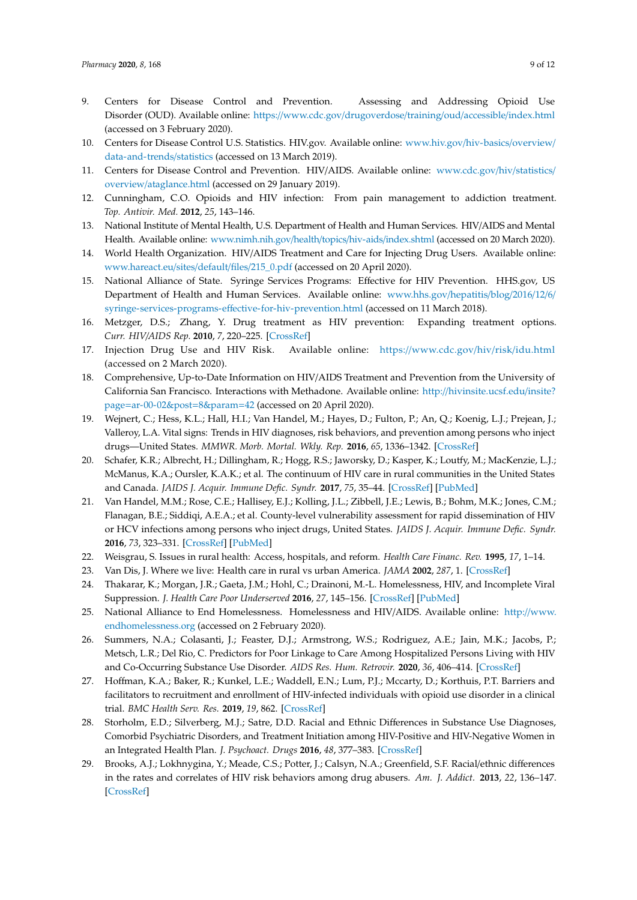- <span id="page-8-0"></span>9. Centers for Disease Control and Prevention. Assessing and Addressing Opioid Use Disorder (OUD). Available online: https://www.cdc.gov/[drugoverdose](https://www.cdc.gov/drugoverdose/training/oud/accessible/index.html)/training/oud/accessible/index.html (accessed on 3 February 2020).
- <span id="page-8-1"></span>10. Centers for Disease Control U.S. Statistics. HIV.gov. Available online: [www.hiv.gov](www.hiv.gov/hiv-basics/overview/data-and-trends/statistics)/hiv-basics/overview/ [data-and-trends](www.hiv.gov/hiv-basics/overview/data-and-trends/statistics)/statistics (accessed on 13 March 2019).
- <span id="page-8-2"></span>11. Centers for Disease Control and Prevention. HIV/AIDS. Available online: [www.cdc.gov](www.cdc.gov/hiv/statistics/overview/ataglance.html)/hiv/statistics/ overview/[ataglance.html](www.cdc.gov/hiv/statistics/overview/ataglance.html) (accessed on 29 January 2019).
- <span id="page-8-3"></span>12. Cunningham, C.O. Opioids and HIV infection: From pain management to addiction treatment. *Top. Antivir. Med.* **2012**, *25*, 143–146.
- <span id="page-8-4"></span>13. National Institute of Mental Health, U.S. Department of Health and Human Services. HIV/AIDS and Mental Health. Available online: [www.nimh.nih.gov](www.nimh.nih.gov/health/topics/hiv-aids/index.shtml)/health/topics/hiv-aids/index.shtml (accessed on 20 March 2020).
- <span id="page-8-5"></span>14. World Health Organization. HIV/AIDS Treatment and Care for Injecting Drug Users. Available online: [www.hareact.eu](www.hareact.eu/sites/default/files/215_0.pdf)/sites/default/files/215\_0.pdf (accessed on 20 April 2020).
- <span id="page-8-6"></span>15. National Alliance of State. Syringe Services Programs: Effective for HIV Prevention. HHS.gov, US Department of Health and Human Services. Available online: [www.hhs.gov](www.hhs.gov/hepatitis/blog/2016/12/6/syringe-services-programs-effective-for-hiv-prevention.html)/hepatitis/blog/2016/12/6/ syringe-services-programs-eff[ective-for-hiv-prevention.html](www.hhs.gov/hepatitis/blog/2016/12/6/syringe-services-programs-effective-for-hiv-prevention.html) (accessed on 11 March 2018).
- <span id="page-8-9"></span>16. Metzger, D.S.; Zhang, Y. Drug treatment as HIV prevention: Expanding treatment options. *Curr. HIV*/*AIDS Rep.* **2010**, *7*, 220–225. [\[CrossRef\]](http://dx.doi.org/10.1007/s11904-010-0059-z)
- <span id="page-8-7"></span>17. Injection Drug Use and HIV Risk. Available online: https://[www.cdc.gov](https://www.cdc.gov/hiv/risk/idu.html)/hiv/risk/idu.html (accessed on 2 March 2020).
- <span id="page-8-8"></span>18. Comprehensive, Up-to-Date Information on HIV/AIDS Treatment and Prevention from the University of California San Francisco. Interactions with Methadone. Available online: http://[hivinsite.ucsf.edu](http://hivinsite.ucsf.edu/insite?page=ar-00-02&post=8¶m=42)/insite? page=[ar-00-02&post](http://hivinsite.ucsf.edu/insite?page=ar-00-02&post=8¶m=42)=8&param=42 (accessed on 20 April 2020).
- <span id="page-8-10"></span>19. Wejnert, C.; Hess, K.L.; Hall, H.I.; Van Handel, M.; Hayes, D.; Fulton, P.; An, Q.; Koenig, L.J.; Prejean, J.; Valleroy, L.A. Vital signs: Trends in HIV diagnoses, risk behaviors, and prevention among persons who inject drugs—United States. *MMWR. Morb. Mortal. Wkly. Rep.* **2016**, *65*, 1336–1342. [\[CrossRef\]](http://dx.doi.org/10.15585/mmwr.mm6547e1)
- <span id="page-8-11"></span>20. Schafer, K.R.; Albrecht, H.; Dillingham, R.; Hogg, R.S.; Jaworsky, D.; Kasper, K.; Loutfy, M.; MacKenzie, L.J.; McManus, K.A.; Oursler, K.A.K.; et al. The continuum of HIV care in rural communities in the United States and Canada. *JAIDS J. Acquir. Immune Defic. Syndr.* **2017**, *75*, 35–44. [\[CrossRef\]](http://dx.doi.org/10.1097/QAI.0000000000001329) [\[PubMed\]](http://www.ncbi.nlm.nih.gov/pubmed/28225437)
- <span id="page-8-12"></span>21. Van Handel, M.M.; Rose, C.E.; Hallisey, E.J.; Kolling, J.L.; Zibbell, J.E.; Lewis, B.; Bohm, M.K.; Jones, C.M.; Flanagan, B.E.; Siddiqi, A.E.A.; et al. County-level vulnerability assessment for rapid dissemination of HIV or HCV infections among persons who inject drugs, United States. *JAIDS J. Acquir. Immune Defic. Syndr.* **2016**, *73*, 323–331. [\[CrossRef\]](http://dx.doi.org/10.1097/QAI.0000000000001098) [\[PubMed\]](http://www.ncbi.nlm.nih.gov/pubmed/27763996)
- <span id="page-8-13"></span>22. Weisgrau, S. Issues in rural health: Access, hospitals, and reform. *Health Care Financ. Rev.* **1995**, *17*, 1–14.
- <span id="page-8-14"></span>23. Van Dis, J. Where we live: Health care in rural vs urban America. *JAMA* **2002**, *287*, 1. [\[CrossRef\]](http://dx.doi.org/10.1001/jama.287.1.108-JMS0102-2-1)
- <span id="page-8-15"></span>24. Thakarar, K.; Morgan, J.R.; Gaeta, J.M.; Hohl, C.; Drainoni, M.-L. Homelessness, HIV, and Incomplete Viral Suppression. *J. Health Care Poor Underserved* **2016**, *27*, 145–156. [\[CrossRef\]](http://dx.doi.org/10.1353/hpu.2016.0020) [\[PubMed\]](http://www.ncbi.nlm.nih.gov/pubmed/27528794)
- <span id="page-8-16"></span>25. National Alliance to End Homelessness. Homelessness and HIV/AIDS. Available online: http://[www.](http://www.endhomelessness.org) [endhomelessness.org](http://www.endhomelessness.org) (accessed on 2 February 2020).
- <span id="page-8-17"></span>26. Summers, N.A.; Colasanti, J.; Feaster, D.J.; Armstrong, W.S.; Rodriguez, A.E.; Jain, M.K.; Jacobs, P.; Metsch, L.R.; Del Rio, C. Predictors for Poor Linkage to Care Among Hospitalized Persons Living with HIV and Co-Occurring Substance Use Disorder. *AIDS Res. Hum. Retrovir.* **2020**, *36*, 406–414. [\[CrossRef\]](http://dx.doi.org/10.1089/aid.2019.0153)
- <span id="page-8-18"></span>27. Hoffman, K.A.; Baker, R.; Kunkel, L.E.; Waddell, E.N.; Lum, P.J.; Mccarty, D.; Korthuis, P.T. Barriers and facilitators to recruitment and enrollment of HIV-infected individuals with opioid use disorder in a clinical trial. *BMC Health Serv. Res.* **2019**, *19*, 862. [\[CrossRef\]](http://dx.doi.org/10.1186/s12913-019-4721-x)
- <span id="page-8-19"></span>28. Storholm, E.D.; Silverberg, M.J.; Satre, D.D. Racial and Ethnic Differences in Substance Use Diagnoses, Comorbid Psychiatric Disorders, and Treatment Initiation among HIV-Positive and HIV-Negative Women in an Integrated Health Plan. *J. Psychoact. Drugs* **2016**, *48*, 377–383. [\[CrossRef\]](http://dx.doi.org/10.1080/02791072.2016.1242180)
- <span id="page-8-20"></span>29. Brooks, A.J.; Lokhnygina, Y.; Meade, C.S.; Potter, J.; Calsyn, N.A.; Greenfield, S.F. Racial/ethnic differences in the rates and correlates of HIV risk behaviors among drug abusers. *Am. J. Addict.* **2013**, *22*, 136–147. [\[CrossRef\]](http://dx.doi.org/10.1111/j.1521-0391.2013.00303.x)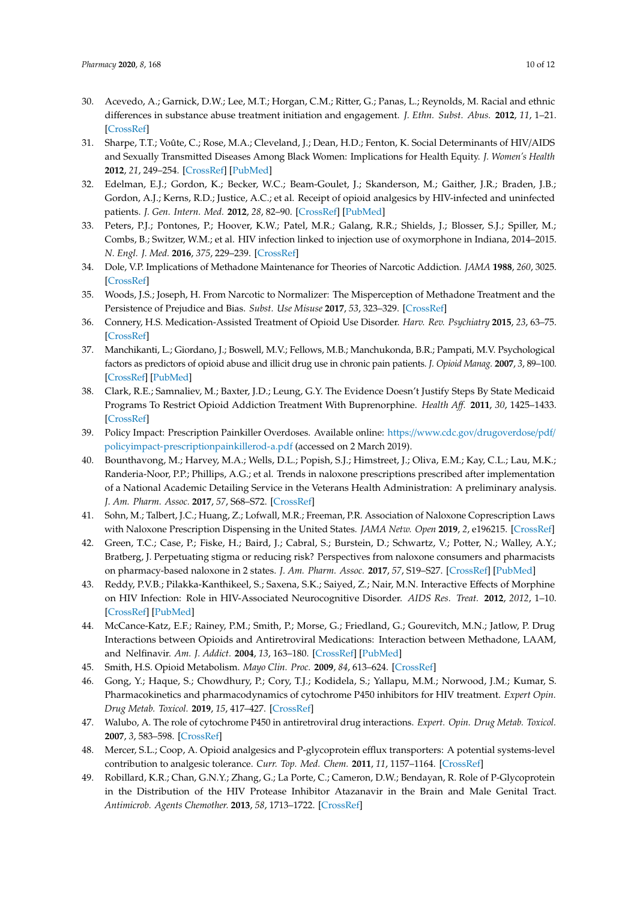- <span id="page-9-0"></span>30. Acevedo, A.; Garnick, D.W.; Lee, M.T.; Horgan, C.M.; Ritter, G.; Panas, L.; Reynolds, M. Racial and ethnic differences in substance abuse treatment initiation and engagement. *J. Ethn. Subst. Abus.* **2012**, *11*, 1–21. [\[CrossRef\]](http://dx.doi.org/10.1080/15332640.2012.652516)
- <span id="page-9-1"></span>31. Sharpe, T.T.; Voûte, C.; Rose, M.A.; Cleveland, J.; Dean, H.D.; Fenton, K. Social Determinants of HIV/AIDS and Sexually Transmitted Diseases Among Black Women: Implications for Health Equity. *J. Women's Health* **2012**, *21*, 249–254. [\[CrossRef\]](http://dx.doi.org/10.1089/jwh.2011.3350) [\[PubMed\]](http://www.ncbi.nlm.nih.gov/pubmed/22196231)
- <span id="page-9-2"></span>32. Edelman, E.J.; Gordon, K.; Becker, W.C.; Beam-Goulet, J.; Skanderson, M.; Gaither, J.R.; Braden, J.B.; Gordon, A.J.; Kerns, R.D.; Justice, A.C.; et al. Receipt of opioid analgesics by HIV-infected and uninfected patients. *J. Gen. Intern. Med.* **2012**, *28*, 82–90. [\[CrossRef\]](http://dx.doi.org/10.1007/s11606-012-2189-z) [\[PubMed\]](http://www.ncbi.nlm.nih.gov/pubmed/22895747)
- <span id="page-9-3"></span>33. Peters, P.J.; Pontones, P.; Hoover, K.W.; Patel, M.R.; Galang, R.R.; Shields, J.; Blosser, S.J.; Spiller, M.; Combs, B.; Switzer, W.M.; et al. HIV infection linked to injection use of oxymorphone in Indiana, 2014–2015. *N. Engl. J. Med.* **2016**, *375*, 229–239. [\[CrossRef\]](http://dx.doi.org/10.1056/NEJMoa1515195)
- <span id="page-9-4"></span>34. Dole, V.P. Implications of Methadone Maintenance for Theories of Narcotic Addiction. *JAMA* **1988**, *260*, 3025. [\[CrossRef\]](http://dx.doi.org/10.1001/jama.1988.03410200081030)
- <span id="page-9-5"></span>35. Woods, J.S.; Joseph, H. From Narcotic to Normalizer: The Misperception of Methadone Treatment and the Persistence of Prejudice and Bias. *Subst. Use Misuse* **2017**, *53*, 323–329. [\[CrossRef\]](http://dx.doi.org/10.1080/10826084.2017.1400068)
- <span id="page-9-6"></span>36. Connery, H.S. Medication-Assisted Treatment of Opioid Use Disorder. *Harv. Rev. Psychiatry* **2015**, *23*, 63–75. [\[CrossRef\]](http://dx.doi.org/10.1097/HRP.0000000000000075)
- <span id="page-9-7"></span>37. Manchikanti, L.; Giordano, J.; Boswell, M.V.; Fellows, M.B.; Manchukonda, B.R.; Pampati, M.V. Psychological factors as predictors of opioid abuse and illicit drug use in chronic pain patients. *J. Opioid Manag.* **2007**, *3*, 89–100. [\[CrossRef\]](http://dx.doi.org/10.5055/jom.2007.0045) [\[PubMed\]](http://www.ncbi.nlm.nih.gov/pubmed/17520988)
- <span id="page-9-8"></span>38. Clark, R.E.; Samnaliev, M.; Baxter, J.D.; Leung, G.Y. The Evidence Doesn't Justify Steps By State Medicaid Programs To Restrict Opioid Addiction Treatment With Buprenorphine. *Health A*ff*.* **2011**, *30*, 1425–1433. [\[CrossRef\]](http://dx.doi.org/10.1377/hlthaff.2010.0532)
- <span id="page-9-9"></span>39. Policy Impact: Prescription Painkiller Overdoses. Available online: https://www.cdc.gov/[drugoverdose](https://www.cdc.gov/drugoverdose/pdf/policyimpact-prescriptionpainkillerod-a.pdf)/pdf/ [policyimpact-prescriptionpainkillerod-a.pdf](https://www.cdc.gov/drugoverdose/pdf/policyimpact-prescriptionpainkillerod-a.pdf) (accessed on 2 March 2019).
- <span id="page-9-10"></span>40. Bounthavong, M.; Harvey, M.A.; Wells, D.L.; Popish, S.J.; Himstreet, J.; Oliva, E.M.; Kay, C.L.; Lau, M.K.; Randeria-Noor, P.P.; Phillips, A.G.; et al. Trends in naloxone prescriptions prescribed after implementation of a National Academic Detailing Service in the Veterans Health Administration: A preliminary analysis. *J. Am. Pharm. Assoc.* **2017**, *57*, S68–S72. [\[CrossRef\]](http://dx.doi.org/10.1016/j.japh.2016.11.003)
- <span id="page-9-11"></span>41. Sohn, M.; Talbert, J.C.; Huang, Z.; Lofwall, M.R.; Freeman, P.R. Association of Naloxone Coprescription Laws with Naloxone Prescription Dispensing in the United States. *JAMA Netw. Open* **2019**, *2*, e196215. [\[CrossRef\]](http://dx.doi.org/10.1001/jamanetworkopen.2019.6215)
- <span id="page-9-12"></span>42. Green, T.C.; Case, P.; Fiske, H.; Baird, J.; Cabral, S.; Burstein, D.; Schwartz, V.; Potter, N.; Walley, A.Y.; Bratberg, J. Perpetuating stigma or reducing risk? Perspectives from naloxone consumers and pharmacists on pharmacy-based naloxone in 2 states. *J. Am. Pharm. Assoc.* **2017**, *57*, S19–S27. [\[CrossRef\]](http://dx.doi.org/10.1016/j.japh.2017.01.013) [\[PubMed\]](http://www.ncbi.nlm.nih.gov/pubmed/28214219)
- <span id="page-9-13"></span>43. Reddy, P.V.B.; Pilakka-Kanthikeel, S.; Saxena, S.K.; Saiyed, Z.; Nair, M.N. Interactive Effects of Morphine on HIV Infection: Role in HIV-Associated Neurocognitive Disorder. *AIDS Res. Treat.* **2012**, *2012*, 1–10. [\[CrossRef\]](http://dx.doi.org/10.1155/2012/953678) [\[PubMed\]](http://www.ncbi.nlm.nih.gov/pubmed/22666564)
- <span id="page-9-14"></span>44. McCance-Katz, E.F.; Rainey, P.M.; Smith, P.; Morse, G.; Friedland, G.; Gourevitch, M.N.; Jatlow, P. Drug Interactions between Opioids and Antiretroviral Medications: Interaction between Methadone, LAAM, and Nelfinavir. *Am. J. Addict.* **2004**, *13*, 163–180. [\[CrossRef\]](http://dx.doi.org/10.1080/10550490490436037) [\[PubMed\]](http://www.ncbi.nlm.nih.gov/pubmed/15204667)
- <span id="page-9-15"></span>45. Smith, H.S. Opioid Metabolism. *Mayo Clin. Proc.* **2009**, *84*, 613–624. [\[CrossRef\]](http://dx.doi.org/10.1016/S0025-6196(11)60750-7)
- <span id="page-9-16"></span>46. Gong, Y.; Haque, S.; Chowdhury, P.; Cory, T.J.; Kodidela, S.; Yallapu, M.M.; Norwood, J.M.; Kumar, S. Pharmacokinetics and pharmacodynamics of cytochrome P450 inhibitors for HIV treatment. *Expert Opin. Drug Metab. Toxicol.* **2019**, *15*, 417–427. [\[CrossRef\]](http://dx.doi.org/10.1080/17425255.2019.1604685)
- <span id="page-9-17"></span>47. Walubo, A. The role of cytochrome P450 in antiretroviral drug interactions. *Expert. Opin. Drug Metab. Toxicol.* **2007**, *3*, 583–598. [\[CrossRef\]](http://dx.doi.org/10.1517/17425255.3.4.583)
- <span id="page-9-18"></span>48. Mercer, S.L.; Coop, A. Opioid analgesics and P-glycoprotein efflux transporters: A potential systems-level contribution to analgesic tolerance. *Curr. Top. Med. Chem.* **2011**, *11*, 1157–1164. [\[CrossRef\]](http://dx.doi.org/10.2174/156802611795371288)
- <span id="page-9-19"></span>49. Robillard, K.R.; Chan, G.N.Y.; Zhang, G.; La Porte, C.; Cameron, D.W.; Bendayan, R. Role of P-Glycoprotein in the Distribution of the HIV Protease Inhibitor Atazanavir in the Brain and Male Genital Tract. *Antimicrob. Agents Chemother.* **2013**, *58*, 1713–1722. [\[CrossRef\]](http://dx.doi.org/10.1128/AAC.02031-13)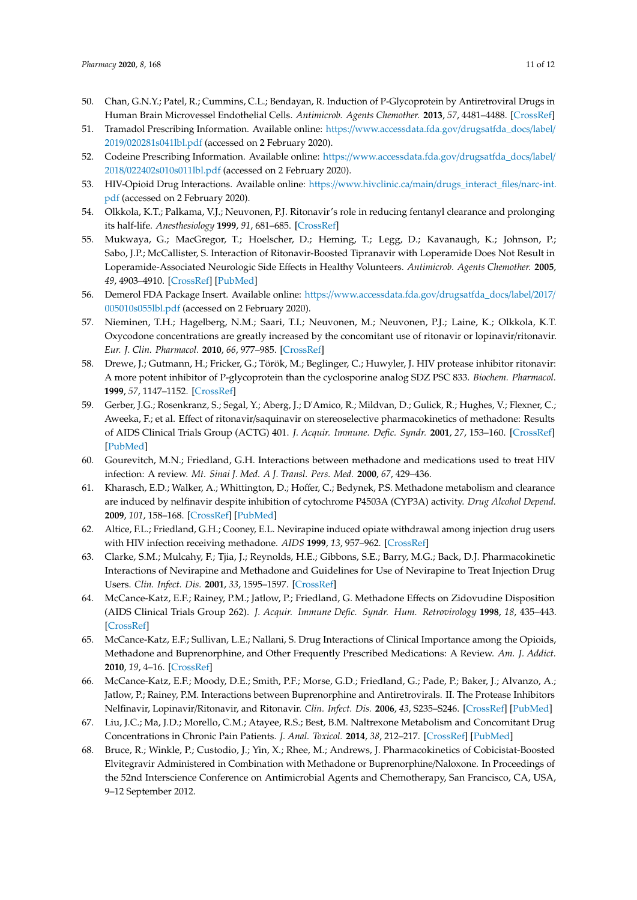- <span id="page-10-0"></span>50. Chan, G.N.Y.; Patel, R.; Cummins, C.L.; Bendayan, R. Induction of P-Glycoprotein by Antiretroviral Drugs in Human Brain Microvessel Endothelial Cells. *Antimicrob. Agents Chemother.* **2013**, *57*, 4481–4488. [\[CrossRef\]](http://dx.doi.org/10.1128/AAC.00486-13)
- <span id="page-10-1"></span>51. Tramadol Prescribing Information. Available online: https://[www.accessdata.fda.gov](https://www.accessdata.fda.gov/drugsatfda_docs/label/2019/020281s041lbl.pdf)/drugsatfda\_docs/label/ 2019/[020281s041lbl.pdf](https://www.accessdata.fda.gov/drugsatfda_docs/label/2019/020281s041lbl.pdf) (accessed on 2 February 2020).
- <span id="page-10-2"></span>52. Codeine Prescribing Information. Available online: https://[www.accessdata.fda.gov](https://www.accessdata.fda.gov/drugsatfda_docs/label/2018/022402s010s011lbl.pdf)/drugsatfda\_docs/label/ 2018/[022402s010s011lbl.pdf](https://www.accessdata.fda.gov/drugsatfda_docs/label/2018/022402s010s011lbl.pdf) (accessed on 2 February 2020).
- <span id="page-10-3"></span>53. HIV-Opioid Drug Interactions. Available online: https://www.hivclinic.ca/main/[drugs\\_interact\\_files](https://www.hivclinic.ca/main/drugs_interact_files/narc-int.pdf)/narc-int. [pdf](https://www.hivclinic.ca/main/drugs_interact_files/narc-int.pdf) (accessed on 2 February 2020).
- <span id="page-10-4"></span>54. Olkkola, K.T.; Palkama, V.J.; Neuvonen, P.J. Ritonavir's role in reducing fentanyl clearance and prolonging its half-life. *Anesthesiology* **1999**, *91*, 681–685. [\[CrossRef\]](http://dx.doi.org/10.1097/00000542-199909000-00020)
- <span id="page-10-5"></span>55. Mukwaya, G.; MacGregor, T.; Hoelscher, D.; Heming, T.; Legg, D.; Kavanaugh, K.; Johnson, P.; Sabo, J.P.; McCallister, S. Interaction of Ritonavir-Boosted Tipranavir with Loperamide Does Not Result in Loperamide-Associated Neurologic Side Effects in Healthy Volunteers. *Antimicrob. Agents Chemother.* **2005**, *49*, 4903–4910. [\[CrossRef\]](http://dx.doi.org/10.1128/AAC.49.12.4903-4910.2005) [\[PubMed\]](http://www.ncbi.nlm.nih.gov/pubmed/16304151)
- <span id="page-10-6"></span>56. Demerol FDA Package Insert. Available online: https://[www.accessdata.fda.gov](https://www.accessdata.fda.gov/drugsatfda_docs/label/2017/005010s055lbl.pdf)/drugsatfda\_docs/label/2017/ [005010s055lbl.pdf](https://www.accessdata.fda.gov/drugsatfda_docs/label/2017/005010s055lbl.pdf) (accessed on 2 February 2020).
- <span id="page-10-7"></span>57. Nieminen, T.H.; Hagelberg, N.M.; Saari, T.I.; Neuvonen, M.; Neuvonen, P.J.; Laine, K.; Olkkola, K.T. Oxycodone concentrations are greatly increased by the concomitant use of ritonavir or lopinavir/ritonavir. *Eur. J. Clin. Pharmacol.* **2010**, *66*, 977–985. [\[CrossRef\]](http://dx.doi.org/10.1007/s00228-010-0879-1)
- <span id="page-10-8"></span>58. Drewe, J.; Gutmann, H.; Fricker, G.; Török, M.; Beglinger, C.; Huwyler, J. HIV protease inhibitor ritonavir: A more potent inhibitor of P-glycoprotein than the cyclosporine analog SDZ PSC 833. *Biochem. Pharmacol.* **1999**, *57*, 1147–1152. [\[CrossRef\]](http://dx.doi.org/10.1016/S0006-2952(99)00026-X)
- <span id="page-10-9"></span>59. Gerber, J.G.; Rosenkranz, S.; Segal, Y.; Aberg, J.; D'Amico, R.; Mildvan, D.; Gulick, R.; Hughes, V.; Flexner, C.; Aweeka, F.; et al. Effect of ritonavir/saquinavir on stereoselective pharmacokinetics of methadone: Results of AIDS Clinical Trials Group (ACTG) 401. *J. Acquir. Immune. Defic. Syndr.* **2001**, *27*, 153–160. [\[CrossRef\]](http://dx.doi.org/10.1097/00042560-200106010-00010) [\[PubMed\]](http://www.ncbi.nlm.nih.gov/pubmed/11404537)
- <span id="page-10-10"></span>60. Gourevitch, M.N.; Friedland, G.H. Interactions between methadone and medications used to treat HIV infection: A review. *Mt. Sinai J. Med. A J. Transl. Pers. Med.* **2000**, *67*, 429–436.
- <span id="page-10-11"></span>61. Kharasch, E.D.; Walker, A.; Whittington, D.; Hoffer, C.; Bedynek, P.S. Methadone metabolism and clearance are induced by nelfinavir despite inhibition of cytochrome P4503A (CYP3A) activity. *Drug Alcohol Depend.* **2009**, *101*, 158–168. [\[CrossRef\]](http://dx.doi.org/10.1016/j.drugalcdep.2008.12.009) [\[PubMed\]](http://www.ncbi.nlm.nih.gov/pubmed/19232844)
- <span id="page-10-12"></span>62. Altice, F.L.; Friedland, G.H.; Cooney, E.L. Nevirapine induced opiate withdrawal among injection drug users with HIV infection receiving methadone. *AIDS* **1999**, *13*, 957–962. [\[CrossRef\]](http://dx.doi.org/10.1097/00002030-199905280-00012)
- <span id="page-10-13"></span>63. Clarke, S.M.; Mulcahy, F.; Tjia, J.; Reynolds, H.E.; Gibbons, S.E.; Barry, M.G.; Back, D.J. Pharmacokinetic Interactions of Nevirapine and Methadone and Guidelines for Use of Nevirapine to Treat Injection Drug Users. *Clin. Infect. Dis.* **2001**, *33*, 1595–1597. [\[CrossRef\]](http://dx.doi.org/10.1086/322519)
- <span id="page-10-14"></span>64. McCance-Katz, E.F.; Rainey, P.M.; Jatlow, P.; Friedland, G. Methadone Effects on Zidovudine Disposition (AIDS Clinical Trials Group 262). *J. Acquir. Immune Defic. Syndr. Hum. Retrovirology* **1998**, *18*, 435–443. [\[CrossRef\]](http://dx.doi.org/10.1097/00042560-199808150-00004)
- <span id="page-10-15"></span>65. McCance-Katz, E.F.; Sullivan, L.E.; Nallani, S. Drug Interactions of Clinical Importance among the Opioids, Methadone and Buprenorphine, and Other Frequently Prescribed Medications: A Review. *Am. J. Addict.* **2010**, *19*, 4–16. [\[CrossRef\]](http://dx.doi.org/10.1111/j.1521-0391.2009.00005.x)
- <span id="page-10-16"></span>66. McCance-Katz, E.F.; Moody, D.E.; Smith, P.F.; Morse, G.D.; Friedland, G.; Pade, P.; Baker, J.; Alvanzo, A.; Jatlow, P.; Rainey, P.M. Interactions between Buprenorphine and Antiretrovirals. II. The Protease Inhibitors Nelfinavir, Lopinavir/Ritonavir, and Ritonavir. *Clin. Infect. Dis.* **2006**, *43*, S235–S246. [\[CrossRef\]](http://dx.doi.org/10.1086/508188) [\[PubMed\]](http://www.ncbi.nlm.nih.gov/pubmed/17109310)
- <span id="page-10-17"></span>67. Liu, J.C.; Ma, J.D.; Morello, C.M.; Atayee, R.S.; Best, B.M. Naltrexone Metabolism and Concomitant Drug Concentrations in Chronic Pain Patients. *J. Anal. Toxicol.* **2014**, *38*, 212–217. [\[CrossRef\]](http://dx.doi.org/10.1093/jat/bku019) [\[PubMed\]](http://www.ncbi.nlm.nih.gov/pubmed/24659754)
- <span id="page-10-18"></span>68. Bruce, R.; Winkle, P.; Custodio, J.; Yin, X.; Rhee, M.; Andrews, J. Pharmacokinetics of Cobicistat-Boosted Elvitegravir Administered in Combination with Methadone or Buprenorphine/Naloxone. In Proceedings of the 52nd Interscience Conference on Antimicrobial Agents and Chemotherapy, San Francisco, CA, USA, 9–12 September 2012.